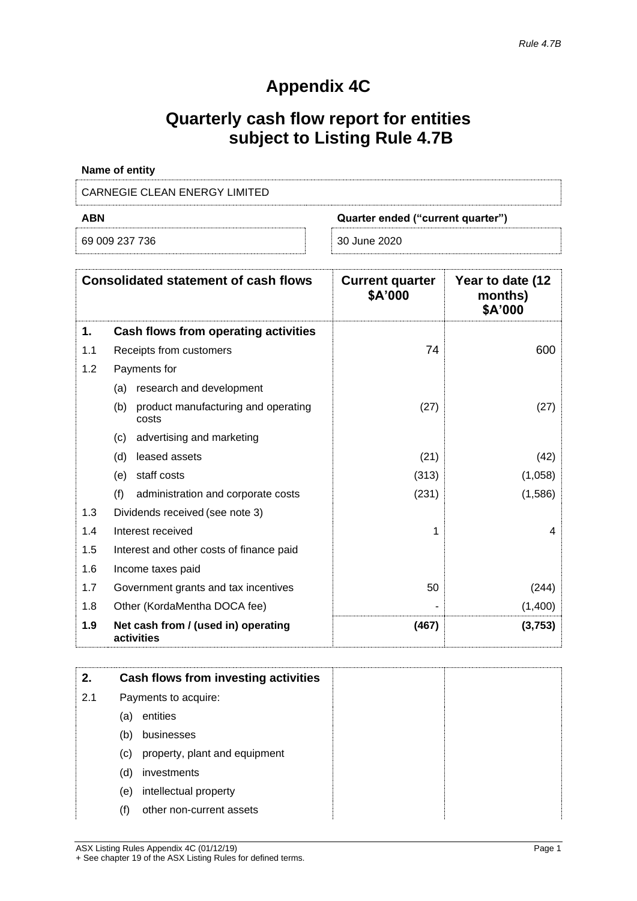# **Appendix 4C**

# **Quarterly cash flow report for entities subject to Listing Rule 4.7B**

| Name of entity                |                                   |  |  |
|-------------------------------|-----------------------------------|--|--|
| CARNEGIE CLEAN ENERGY LIMITED |                                   |  |  |
| ABN                           | Quarter ended ("current quarter") |  |  |
| 69 009 237 736                | 30 June 2020                      |  |  |

|     | <b>Consolidated statement of cash flows</b>         | <b>Current quarter</b><br>\$A'000 | Year to date (12<br>months)<br>\$A'000 |
|-----|-----------------------------------------------------|-----------------------------------|----------------------------------------|
| 1.  | Cash flows from operating activities                |                                   |                                        |
| 1.1 | Receipts from customers                             | 74                                | 600                                    |
| 1.2 | Payments for                                        |                                   |                                        |
|     | research and development<br>(a)                     |                                   |                                        |
|     | product manufacturing and operating<br>(b)<br>costs | (27)                              | (27)                                   |
|     | advertising and marketing<br>(c)                    |                                   |                                        |
|     | (d)<br>leased assets                                | (21)                              | (42)                                   |
|     | staff costs<br>(e)                                  | (313)                             | (1,058)                                |
|     | (f)<br>administration and corporate costs           | (231)                             | (1,586)                                |
| 1.3 | Dividends received (see note 3)                     |                                   |                                        |
| 1.4 | Interest received                                   | 1                                 | 4                                      |
| 1.5 | Interest and other costs of finance paid            |                                   |                                        |
| 1.6 | Income taxes paid                                   |                                   |                                        |
| 1.7 | Government grants and tax incentives                | 50                                | (244)                                  |
| 1.8 | Other (KordaMentha DOCA fee)                        |                                   | (1,400)                                |
| 1.9 | Net cash from / (used in) operating<br>activities   | (467)                             | (3,753)                                |

| 2.  |     | Cash flows from investing activities |  |
|-----|-----|--------------------------------------|--|
| 2.1 |     | Payments to acquire:                 |  |
|     | (a) | entities                             |  |
|     | (b) | businesses                           |  |
|     | (c) | property, plant and equipment        |  |
|     | (d) | investments                          |  |
|     | (e) | intellectual property                |  |
|     | (f) | other non-current assets             |  |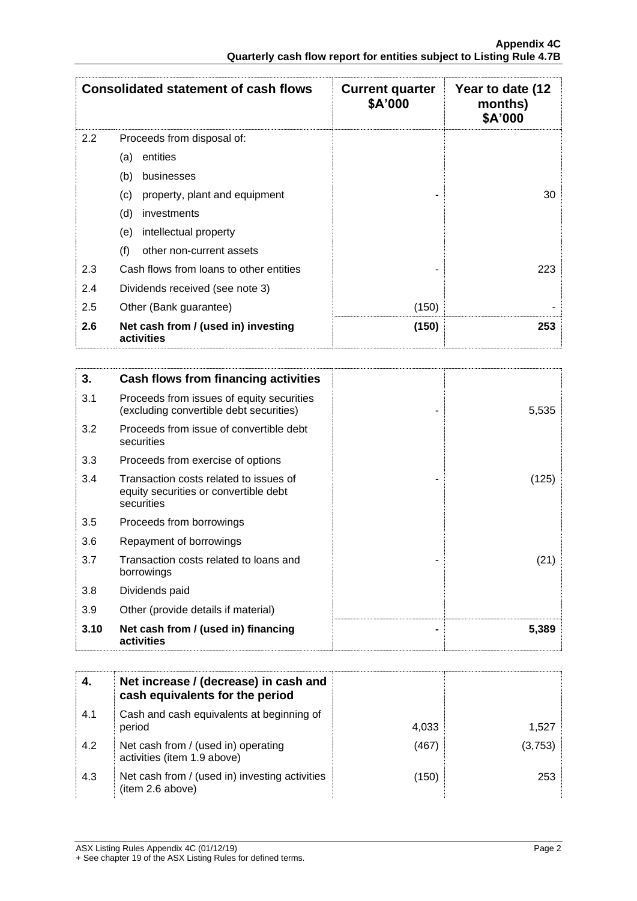|               | <b>Consolidated statement of cash flows</b>       | <b>Current quarter</b><br>\$A'000 | Year to date (12<br>months)<br>\$A'000 |
|---------------|---------------------------------------------------|-----------------------------------|----------------------------------------|
| $2.2^{\circ}$ | Proceeds from disposal of:                        |                                   |                                        |
|               | entities<br>(a)                                   |                                   |                                        |
|               | (b)<br>businesses                                 |                                   |                                        |
|               | property, plant and equipment<br>(c)              |                                   | 30                                     |
|               | (d)<br>investments                                |                                   |                                        |
|               | intellectual property<br>(e)                      |                                   |                                        |
|               | (f)<br>other non-current assets                   |                                   |                                        |
| 2.3           | Cash flows from loans to other entities           |                                   | 223                                    |
| 2.4           | Dividends received (see note 3)                   |                                   |                                        |
| 2.5           | Other (Bank guarantee)                            | (150)                             |                                        |
| 2.6           | Net cash from / (used in) investing<br>activities | (150)                             | 253                                    |

| 3.   | Cash flows from financing activities                                                          |       |
|------|-----------------------------------------------------------------------------------------------|-------|
| 3.1  | Proceeds from issues of equity securities<br>(excluding convertible debt securities)          | 5,535 |
| 3.2  | Proceeds from issue of convertible debt<br>securities                                         |       |
| 3.3  | Proceeds from exercise of options                                                             |       |
| 3.4  | Transaction costs related to issues of<br>equity securities or convertible debt<br>securities | (125) |
| 3.5  | Proceeds from borrowings                                                                      |       |
| 3.6  | Repayment of borrowings                                                                       |       |
| 3.7  | Transaction costs related to loans and<br>borrowings                                          | (21)  |
| 3.8  | Dividends paid                                                                                |       |
| 3.9  | Other (provide details if material)                                                           |       |
| 3.10 | Net cash from / (used in) financing<br>activities                                             | 5,389 |

| 4.  | Net increase / (decrease) in cash and<br>cash equivalents for the period |       |         |
|-----|--------------------------------------------------------------------------|-------|---------|
| 4.1 | Cash and cash equivalents at beginning of<br>period                      | 4,033 | 1,527   |
| 4.2 | Net cash from / (used in) operating<br>activities (item 1.9 above)       | (467) | (3,753) |
| 4.3 | Net cash from / (used in) investing activities<br>(item 2.6 above)       | (150) | 253     |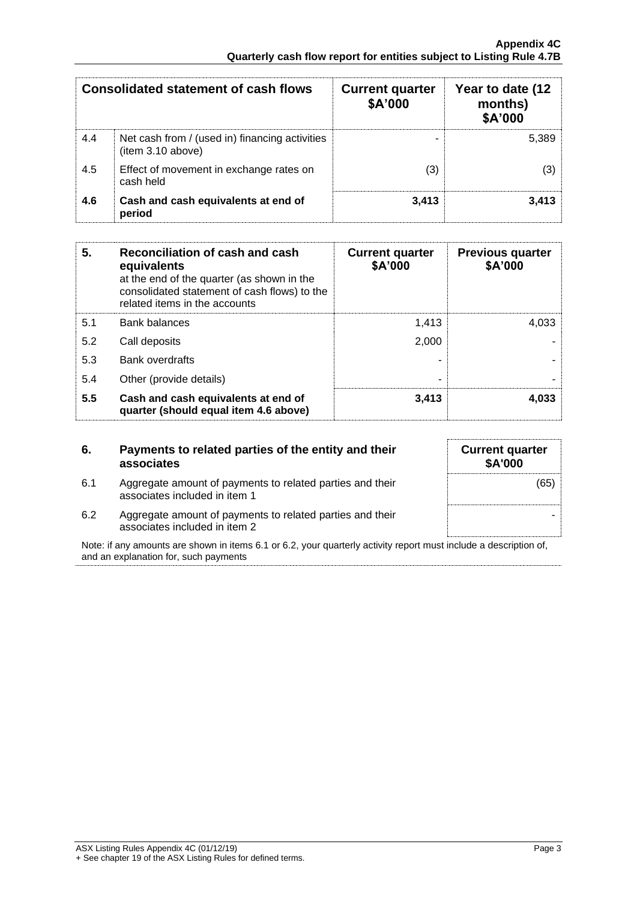|     | Consolidated statement of cash flows                               | <b>Current quarter</b><br>\$A'000 | Year to date (12<br>months)<br>\$A'000 |
|-----|--------------------------------------------------------------------|-----------------------------------|----------------------------------------|
| 4.4 | Net cash from / (used in) financing activities<br>item 3.10 above) |                                   | 5.389                                  |
| 4.5 | Effect of movement in exchange rates on<br>cash held               | (3)                               |                                        |
| 4.6 | Cash and cash equivalents at end of<br>period                      | 3.413                             | 3.413                                  |

| 5.  | Reconciliation of cash and cash<br>equivalents<br>at the end of the quarter (as shown in the<br>consolidated statement of cash flows) to the<br>related items in the accounts | <b>Current quarter</b><br>\$A'000 | <b>Previous quarter</b><br>\$A'000 |
|-----|-------------------------------------------------------------------------------------------------------------------------------------------------------------------------------|-----------------------------------|------------------------------------|
| 5.1 | <b>Bank balances</b>                                                                                                                                                          | 1.413                             | 4,033                              |
| 5.2 | Call deposits                                                                                                                                                                 | 2.000                             |                                    |
| 5.3 | <b>Bank overdrafts</b>                                                                                                                                                        |                                   |                                    |
| 5.4 | Other (provide details)                                                                                                                                                       | -                                 |                                    |
| 5.5 | Cash and cash equivalents at end of<br>quarter (should equal item 4.6 above)                                                                                                  | 3,413                             | 4,033                              |

| 6.                                                                                                                                                         | Payments to related parties of the entity and their<br>associates                          | <b>Current quarter</b><br><b>\$A'000</b> |
|------------------------------------------------------------------------------------------------------------------------------------------------------------|--------------------------------------------------------------------------------------------|------------------------------------------|
| 6.1                                                                                                                                                        | Aggregate amount of payments to related parties and their<br>associates included in item 1 | (65)                                     |
| 6.2                                                                                                                                                        | Aggregate amount of payments to related parties and their<br>associates included in item 2 |                                          |
| Note: if any amounts are shown in items 6.1 or 6.2, your quarterly activity report must include a description of,<br>and an explanation for, such payments |                                                                                            |                                          |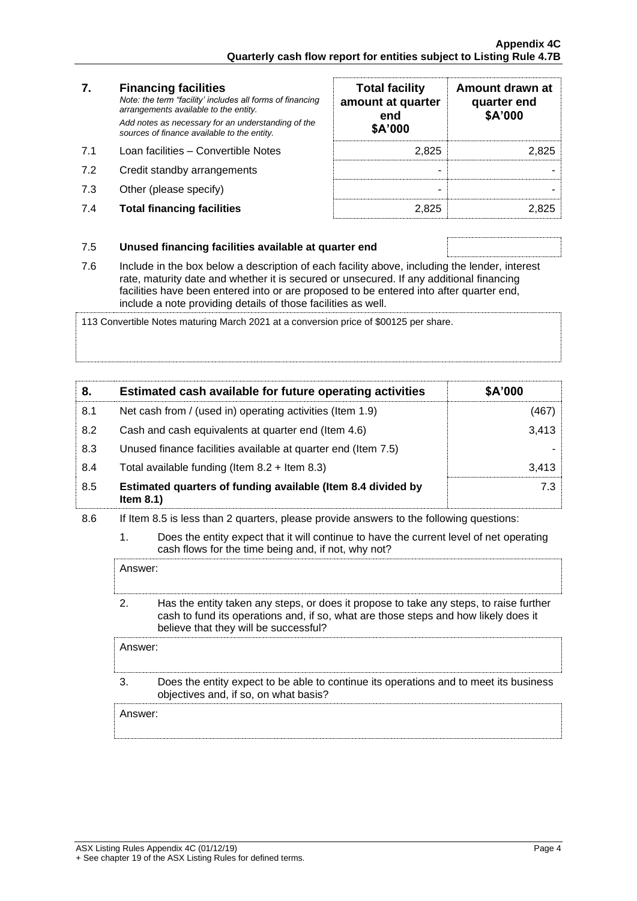#### **7. Financing facilities** *Note: the term "facility' includes all forms of financing arrangements available to the entity. Add notes as necessary for an understanding of the*

*sources of finance available to the entity.*

- 7.1 Loan facilities Convertible Notes
- 7.2 Credit standby arrangements
- 7.3 Other (please specify)
- 7.4 **Total financing facilities** 2,825 2,825

| <b>Total facility</b><br>amount at quarter<br>end<br>\$A'000 | Amount drawn at<br>quarter end<br>\$A'000 |
|--------------------------------------------------------------|-------------------------------------------|
| 2.825                                                        | 2.825                                     |
|                                                              |                                           |
|                                                              |                                           |
|                                                              |                                           |

### 7.5 **Unused financing facilities available at quarter end**

7.6 Include in the box below a description of each facility above, including the lender, interest rate, maturity date and whether it is secured or unsecured. If any additional financing facilities have been entered into or are proposed to be entered into after quarter end, include a note providing details of those facilities as well.

113 Convertible Notes maturing March 2021 at a conversion price of \$00125 per share.

| 8.  | Estimated cash available for future operating activities                     | \$A'000 |
|-----|------------------------------------------------------------------------------|---------|
| 8.1 | Net cash from / (used in) operating activities (Item 1.9)                    | (467)   |
| 8.2 | Cash and cash equivalents at quarter end (Item 4.6)                          | 3,413   |
| 8.3 | Unused finance facilities available at quarter end (Item 7.5)                |         |
| 8.4 | Total available funding (Item $8.2 +$ Item $8.3$ )                           | 3.413   |
| 8.5 | Estimated quarters of funding available (Item 8.4 divided by<br>Item $8.1$ ) | 7.3     |

- 8.6 If Item 8.5 is less than 2 quarters, please provide answers to the following questions:
	- 1. Does the entity expect that it will continue to have the current level of net operating cash flows for the time being and, if not, why not?

Answer:

2. Has the entity taken any steps, or does it propose to take any steps, to raise further cash to fund its operations and, if so, what are those steps and how likely does it believe that they will be successful?

Answer: 3. Does the entity expect to be able to continue its operations and to meet its business objectives and, if so, on what basis? Answer: